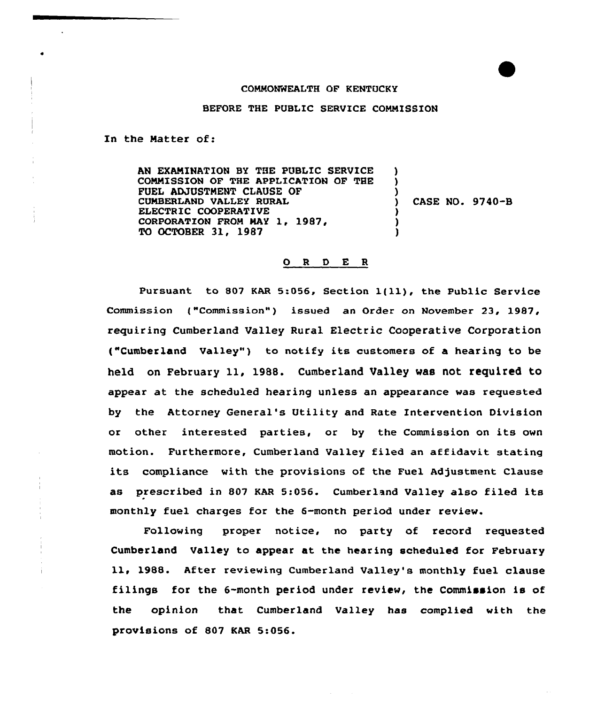## COMMONWEALTH OF KENTUCKY

BEFORE THE PUBLIC SERVICE COMMISSION

In the Matter of:

AN EXAMINATION BY THE PUBLIC SERVICE COMMISSION OF THE APPLICATION OF THE FUEL ADJUSTMENT CLAUSE OF CUMBERLAND VALLEY RURAL ELECTRIC COOPERATIVE CORPORATION FROM MAY 1, 1987, TO OCTOBER 31, 1987 ) ) ) ) CASE NO. 9740-B ) ) )

## ORDER

Pursuant to 807 KAR 5:056, Section  $1(11)$ , the Public Service Commission ("Commission") issued an Order on November 23, 1987, requiring Cumberland Valley Rural Electric Cooperative Corporation ("Cumberland Valley") to notify its customers of a hearing to be held on February 11, 1988. Cumberland Valley was not required to appear at the scheduled hearing unless an appearance was requested by the Attorney General's Utility and Rate Intervention Division or other interested parties, or by the Commission on its own motion. Furthermore, Cumberland Valley filed an affidavit stating its compliance with the provisions of the Fuel Adjustment Clause as prescribed in 807 KAR 5:056. Cumberland Valley also filed its monthly fuel charges for the 6-month period under review.

Following proper notice, no party of record requested Cumberland Valley to appear at the hearing scheduled for February 11, 1988. After reviewing Cumberland Valley's monthly fuel clause filings for the 6-month period under review, the Commission is of the opinion that Cumberland Valley has complied with the provisions of 807 KAR 5:056.